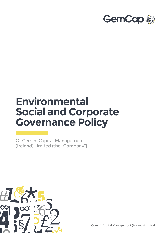

## **Environmental Social and Corporate Governance Policy**

Of Gemini Capital Management (Ireland) Limited (the "Company")



Gemini Capital Management (Ireland) Limited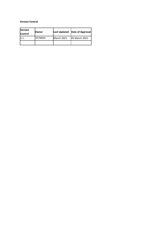## **Version Control**

| <b>Version</b><br><b>Control</b> | Owner  |                   | Last Updated   Date of Approval |
|----------------------------------|--------|-------------------|---------------------------------|
|                                  | DT/MDH | <b>March 2021</b> | <b>05 March 2021</b>            |
|                                  |        |                   |                                 |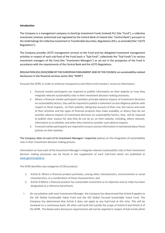## **Introduction**

The Company is a management company to GemCap Investment Funds (Ireland) PLC (the "Fund"), a collective investment schemes authorised and regulated by the Central Bank of Ireland (the "Central Bank") pursuant to the Undertakings for Collective Investment in Transferable Securities, Regulations 2011, as amended (the "UCITS Regulations").

The Company provides UCITS management services to the Fund and has delegated investment management activities in respect of each sub-fund of the Fund (each a "Sub-Fund", collectively the "Sub-Funds") to various investment managers of the Fund (the "Investment Managers") as set out in the prospectus of the Fund in accordance with the requirements of the Central Bank and the UCITS Regulations.

**REGULATION (EU) 2019/2088 OF THE EUROPEAN PARLIAMENT AND OF THE COUNCIL on sustainability-related disclosures in the financial services sector (the "SFDR")**

Pursuant the SFDR, in order to enhance transparency and inform end investors' access to information:-

- 1. financial market participants are required to publish information on their website on how they integrate relevant sustainability risks in their investment decision making processes;
- 2. Where a financial market participant considers principal adverse impacts of investment decisions on sustainability factors, they will be required to publish a statement on due diligence policies with respect to those impacts, on their website, taking due account of their size, the nature and scale of their activities and the types of financial products they make available; or where they do not consider adverse impacts of investment decisions on sustainability factors, they will be required to publish clear reasons for why they do not do so, on their website, including, where relevant, information as to whether and when they intend to consider such adverse impacts.
- 3. Financial market participants are required to ensure concise information is maintained about those policies on their website;

The Company relies on each of its Investment Managers' respective policies on the integration of sustainability risks in their investment decision-making process.

Information on how each of the Investment Manager's integrate relevant sustainability risks in their investment decision making processes can be found in the supplement of each Sub-Fund which are published at www.geminicapital.ie

The SFDR identifies two categories of ESG products:

- 1. Article 8: Where a financial product promotes, among other characteristics, environmental or social characteristics, or a combination of those characteristics; and
- 2. Article 9:Where a financial product has sustainable investment as its objective and an index has been designated as a reference benchmark.
- i. On consultation with each Investment Manager, the Company has determined that Article 8 applies to the GSI Global Sustainable Value Fund and the GSI Global Focused Sustainable Value Fund. The Company has determined that Article 9 does not apply to any Sub-Fund at this time. This will be reviewed on a continuous basis. All other sub-funds fall outside the scope of Article 8 and Article 9 of the SFDR. The below extra disclosure requirements will not be required in respect of Sub-Funds which